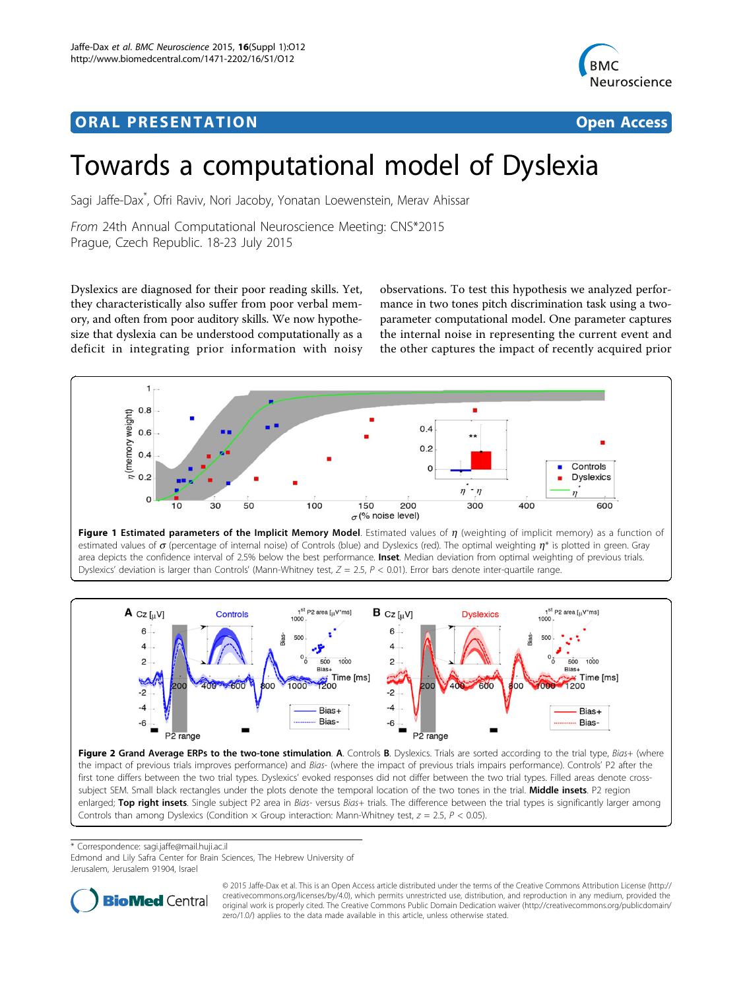## <span id="page-0-0"></span>ORA L PR E S EN TA TION OPEN ACCESS OF THE SERVICE OF THE SERVICE OF THE SERVICE OF THE SERVICE OF THE SERVICE



# Towards a computational model of Dyslexia

Sagi Jaffe-Dax\* , Ofri Raviv, Nori Jacoby, Yonatan Loewenstein, Merav Ahissar

From 24th Annual Computational Neuroscience Meeting: CNS\*2015 Prague, Czech Republic. 18-23 July 2015

Dyslexics are diagnosed for their poor reading skills. Yet, they characteristically also suffer from poor verbal memory, and often from poor auditory skills. We now hypothesize that dyslexia can be understood computationally as a deficit in integrating prior information with noisy observations. To test this hypothesis we analyzed performance in two tones pitch discrimination task using a twoparameter computational model. One parameter captures the internal noise in representing the current event and the other captures the impact of recently acquired prior



estimated values of  $\sigma$  (percentage of internal noise) of Controls (blue) and Dyslexics (red). The optimal weighting  $\eta^*$  is plotted in green. Gray area depicts the confidence interval of 2.5% below the best performance. Inset. Median deviation from optimal weighting of previous trials. Dyslexics' deviation is larger than Controls' (Mann-Whitney test,  $Z = 2.5$ ,  $P < 0.01$ ). Error bars denote inter-quartile range.



the impact of previous trials improves performance) and Bias- (where the impact of previous trials impairs performance). Controls' P2 after the first tone differs between the two trial types. Dyslexics' evoked responses did not differ between the two trial types. Filled areas denote crosssubject SEM. Small black rectangles under the plots denote the temporal location of the two tones in the trial. Middle insets. P2 region enlarged; Top right insets. Single subject P2 area in Bias- versus Bias+ trials. The difference between the trial types is significantly larger among Controls than among Dyslexics (Condition  $\times$  Group interaction: Mann-Whitney test,  $z = 2.5$ ,  $P < 0.05$ ).

\* Correspondence: [sagi.jaffe@mail.huji.ac.il](mailto:sagi.jaffe@mail.huji.ac.il)

Edmond and Lily Safra Center for Brain Sciences, The Hebrew University of Jerusalem, Jerusalem 91904, Israel



© 2015 Jaffe-Dax et al. This is an Open Access article distributed under the terms of the Creative Commons Attribution License [\(http://](http://creativecommons.org/licenses/by/4.0) [creativecommons.org/licenses/by/4.0](http://creativecommons.org/licenses/by/4.0)), which permits unrestricted use, distribution, and reproduction in any medium, provided the original work is properly cited. The Creative Commons Public Domain Dedication waiver ([http://creativecommons.org/publicdomain/](http://creativecommons.org/publicdomain/zero/1.0/) [zero/1.0/](http://creativecommons.org/publicdomain/zero/1.0/)) applies to the data made available in this article, unless otherwise stated.